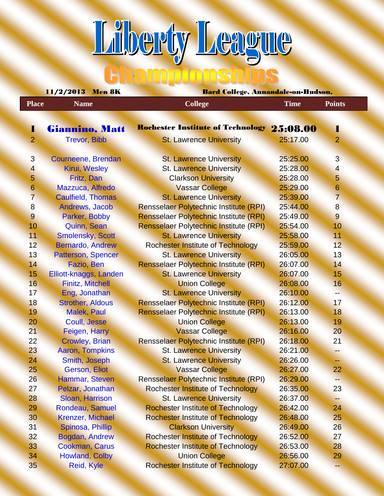**Liberty League** 

|                  | 11/2/2013 Men 8K         | Bard College, Annandale-on-Hudson,            |             |                |  |  |  |
|------------------|--------------------------|-----------------------------------------------|-------------|----------------|--|--|--|
| <b>Place</b>     | <b>Name</b>              | <b>College</b>                                | <b>Time</b> | <b>Points</b>  |  |  |  |
|                  |                          |                                               |             |                |  |  |  |
| ı                | Giannino, Matt           | Rochester Institute of Technology 25:08.00    |             | ı              |  |  |  |
| $\overline{2}$   | <b>Trevor, Bibb</b>      | <b>St. Lawrence University</b>                | 25:17.00    | $\overline{2}$ |  |  |  |
|                  |                          |                                               |             |                |  |  |  |
| $\mathbf{3}$     | Courneene, Brendan       | <b>St. Lawrence University</b>                | 25:25.00    | 3              |  |  |  |
| $\overline{4}$   | Kirui, Wesley            | <b>St. Lawrence University</b>                | 25:28.00    | $\overline{4}$ |  |  |  |
| 5                | Fritz, Dan               | <b>Clarkson University</b>                    | 25:28.00    | $\overline{5}$ |  |  |  |
| $6 \overline{6}$ | Mazzuca, Alfredo         | <b>Vassar College</b>                         | 25:29.00    | 6              |  |  |  |
| $\overline{7}$   | <b>Caulfield, Thomas</b> | <b>St. Lawrence University</b>                | 25:39.00    | $\overline{7}$ |  |  |  |
| $\boldsymbol{8}$ | Andrews, Jacob           | <b>Rensselaer Polytechnic Institute (RPI)</b> | 25:44.00    | 8              |  |  |  |
| 9                | Parker, Bobby            | Rensselaer Polytechnic Institute (RPI)        | 25:49.00    | 9              |  |  |  |
| 10               | Quinn, Sean              | Rensselaer Polytechnic Institute (RPI)        | 25:54.00    | 10             |  |  |  |
| 11               | <b>Smolensky, Scott</b>  | <b>St. Lawrence University</b>                | 25:58.00    | 11             |  |  |  |
| 12               | <b>Bernardo, Andrew</b>  | <b>Rochester Institute of Technology</b>      | 25:59.00    | 12             |  |  |  |
| 13               | Patterson, Spencer       | <b>St. Lawrence University</b>                | 26:05.00    | 13             |  |  |  |
| 14               | Fazio, Ben               | Rensselaer Polytechnic Institute (RPI)        | 26:07.00    | 14             |  |  |  |
| 15               | Elliott-knaggs, Landen   | <b>St. Lawrence University</b>                | 26:07.00    | 15             |  |  |  |
| 16               | <b>Finitz, Mitchell</b>  | <b>Union College</b>                          | 26:08.00    | 16             |  |  |  |
| 17               | Eng, Jonathan            | <b>St. Lawrence University</b>                | 26:10.00    | --             |  |  |  |
| 18               | <b>Strother, Aldous</b>  | <b>Rensselaer Polytechnic Institute (RPI)</b> | 26:12.00    | 17             |  |  |  |
| 19               | <b>Malek, Paul</b>       | Rensselaer Polytechnic Institute (RPI)        | 26:13.00    | 18             |  |  |  |
| 20 <sub>1</sub>  | Coull, Jesse             | <b>Union College</b>                          | 26:13.00    | 19             |  |  |  |
| 21               | Feigen, Harry            | <b>Vassar College</b>                         | 26:16.00    | 20             |  |  |  |
| 22               | <b>Crowley, Brian</b>    | Rensselaer Polytechnic Institute (RPI)        | 26:18.00    | 21             |  |  |  |
| 23               | <b>Aaron, Tompkins</b>   | <b>St. Lawrence University</b>                | 26:21.00    | H.             |  |  |  |
| 24               | Smith, Joseph            | <b>St. Lawrence University</b>                | 26:26.00    | ≃≑             |  |  |  |
| 25 <sub>2</sub>  | Gerson, Eliot            | <b>Vassar College</b>                         | 26:27.00    | 22             |  |  |  |
| 26               | Hammar, Steven           | <b>Rensselaer Polytechnic Institute (RPI)</b> | 26:29.00    | --             |  |  |  |
| 27               | Pelzar, Jonathan         | <b>Rochester Institute of Technology</b>      | 26:35.00    | 23             |  |  |  |
| 28               | Sloan, Harrison          | <b>St. Lawrence University</b>                | 26:37.00    | Ъ.             |  |  |  |
| 29               | Rondeau, Samuel          | <b>Rochester Institute of Technology</b>      | 26:42.00    | 24             |  |  |  |
| 30               | <b>Krenzer, Michael</b>  | <b>Rochester Institute of Technology</b>      | 26:48.00    | 25             |  |  |  |
| 31               | Spinosa, Phillip         | <b>Clarkson University</b>                    | 26:49.00    | 26             |  |  |  |
| 32               | Bogdan, Andrew           | <b>Rochester Institute of Technology</b>      | 26:52.00    | 27             |  |  |  |
| 33               | <b>Cookman, Carus</b>    | <b>Rochester Institute of Technology</b>      | 26:53.00    | 28             |  |  |  |
| 34               | <b>Howland, Colby</b>    | <b>Union College</b>                          | 26:56.00    | 29             |  |  |  |
| 35               | <b>Reid, Kyle</b>        | <b>Rochester Institute of Technology</b>      | 27:07.00    | ÷÷             |  |  |  |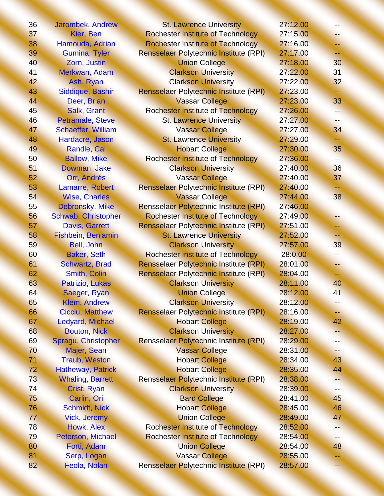| 36 | Jarombek, Andrew          | <b>St. Lawrence University</b>                | 27:12.00 |     |
|----|---------------------------|-----------------------------------------------|----------|-----|
| 37 | Kier, Ben                 | <b>Rochester Institute of Technology</b>      | 27:15.00 | -∸  |
| 38 | Hamouda, Adrian           | <b>Rochester Institute of Technology</b>      | 27:16.00 | -∸  |
| 39 | <b>Gumina, Tyler</b>      | <b>Rensselaer Polytechnic Institute (RPI)</b> | 27:17.00 | ÷   |
| 40 | Zorn, Justin              | <b>Union College</b>                          | 27:18.00 | 30  |
| 41 | Merkwan, Adam             | <b>Clarkson University</b>                    | 27:22.00 | 31  |
| 42 | Ash, Ryan                 | <b>Clarkson University</b>                    | 27:22.00 | 32  |
| 43 | Siddique, Bashir          | Rensselaer Polytechnic Institute (RPI)        | 27:23.00 | ÷÷  |
| 44 | Deer, Brian               | <b>Vassar College</b>                         | 27:23.00 | 33  |
| 45 | Salk, Grant               | <b>Rochester Institute of Technology</b>      | 27:26.00 | --  |
| 46 | Petramale, Steve          | <b>St. Lawrence University</b>                | 27:27.00 | --  |
| 47 | <b>Schaeffer, William</b> | <b>Vassar College</b>                         | 27:27.00 | 34  |
| 48 | Hardacre, Jason           | <b>St. Lawrence University</b>                | 27:29.00 | ÷   |
| 49 | Randle, Cal               | <b>Hobart College</b>                         | 27:30.00 | 35  |
| 50 | <b>Ballow, Mike</b>       | <b>Rochester Institute of Technology</b>      | 27:36.00 |     |
| 51 | Dowman, Jake              | <b>Clarkson University</b>                    | 27:40.00 | 36  |
| 52 | Orr, Andrés               | <b>Vassar College</b>                         | 27:40.00 | 37  |
| 53 | Lamarre, Robert           | Rensselaer Polytechnic Institute (RPI)        | 27:40.00 | ⊷   |
| 54 | <b>Wise, Charles</b>      | <b>Vassar College</b>                         | 27:44.00 | 38  |
| 55 | Debronsky, Mike           | <b>Rensselaer Polytechnic Institute (RPI)</b> | 27:46.00 | --  |
| 56 | Schwab, Christopher       | <b>Rochester Institute of Technology</b>      | 27:49.00 | --  |
| 57 | <b>Davis, Garrett</b>     | Rensselaer Polytechnic Institute (RPI)        | 27:51.00 | --  |
| 58 | Fishbein, Benjamin        | <b>St. Lawrence University</b>                | 27:52.00 | ⊷   |
| 59 | Bell, John                | <b>Clarkson University</b>                    | 27:57.00 | 39  |
| 60 | <b>Baker, Seth</b>        | <b>Rochester Institute of Technology</b>      | 28:0.00  | --  |
| 61 | <b>Schwartz, Brad</b>     | Rensselaer Polytechnic Institute (RPI)        | 28:01.00 | - 1 |
| 62 | <b>Smith, Colin</b>       | Rensselaer Polytechnic Institute (RPI)        | 28:04.00 | ÷÷  |
| 63 | Patrizio, Lukas           | <b>Clarkson University</b>                    | 28:11.00 | 40  |
| 64 | Saeger, Ryan              | <b>Union College</b>                          | 28:12.00 | 41  |
| 65 | <b>Klem, Andrew</b>       | <b>Clarkson University</b>                    | 28:12.00 | --  |
| 66 | <b>Cicciu, Matthew</b>    | <b>Rensselaer Polytechnic Institute (RPI)</b> | 28:16.00 | ⊷   |
| 67 | <b>Ledyard, Michael</b>   | <b>Hobart College</b>                         | 28:19.00 | 42  |
| 68 | <b>Bouton, Nick</b>       | <b>Clarkson University</b>                    | 28:27.00 | --  |
| 69 | Spragu, Christopher       | <b>Rensselaer Polytechnic Institute (RPI)</b> | 28:29.00 |     |
| 70 | Majer, Sean               | <b>Vassar College</b>                         | 28:31.00 | --  |
| 71 | <b>Traub, Weston</b>      | <b>Hobart College</b>                         | 28:34.00 | 43  |
| 72 | <b>Hatheway, Patrick</b>  | <b>Hobart College</b>                         | 28:35.00 | 44  |
| 73 | <b>Whaling, Barrett</b>   | <b>Rensselaer Polytechnic Institute (RPI)</b> | 28:38.00 |     |
| 74 | Crist, Ryan               | <b>Clarkson University</b>                    | 28:39.00 | --  |
| 75 | Carlin, Ori               | <b>Bard College</b>                           | 28:41.00 | 45  |
| 76 | <b>Schmidt, Nick</b>      | <b>Hobart College</b>                         | 28:45.00 | 46  |
| 77 | <b>Vick, Jeremy</b>       | <b>Union College</b>                          | 28:49.00 | 47  |
| 78 | Howk, Alex                | <b>Rochester Institute of Technology</b>      | 28:52.00 |     |
| 79 | Peterson, Michael         | <b>Rochester Institute of Technology</b>      | 28:54.00 | ÷÷  |
| 80 | Forti, Adam               | <b>Union College</b>                          | 28:54.00 | 48  |
| 81 | Serp, Logan               | <b>Vassar College</b>                         | 28:55.00 | ÷.  |
| 82 | Feola, Nolan              | Rensselaer Polytechnic Institute (RPI)        | 28:57.00 | --  |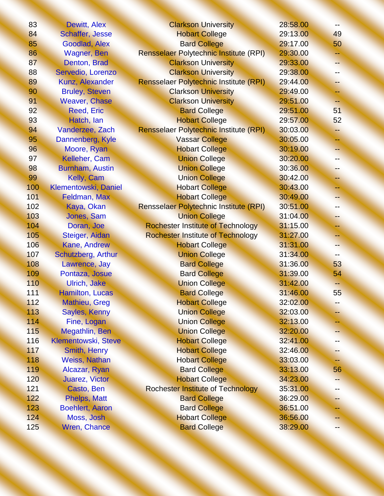| 83  | <b>Dewitt, Alex</b>    | <b>Clarkson University</b>                    | 28:58.00 |     |
|-----|------------------------|-----------------------------------------------|----------|-----|
| 84  | <b>Schaffer, Jesse</b> | <b>Hobart College</b>                         | 29:13.00 | 49  |
| 85  | Goodlad, Alex          | <b>Bard College</b>                           | 29:17.00 | 50  |
| 86  | <b>Wagner</b> , Ben    | Rensselaer Polytechnic Institute (RPI)        | 29:30.00 | ÷   |
| 87  | Denton, Brad           | <b>Clarkson University</b>                    | 29:33.00 |     |
| 88  | Servedio, Lorenzo      | <b>Clarkson University</b>                    | 29:38.00 | -≒  |
| 89  | Kunz, Alexander        | <b>Rensselaer Polytechnic Institute (RPI)</b> | 29:44.00 | ÷   |
| 90  | <b>Bruley, Steven</b>  | <b>Clarkson University</b>                    | 29:49.00 |     |
| 91  | <b>Weaver, Chase</b>   | <b>Clarkson University</b>                    | 29:51.00 | -∸  |
| 92  | <b>Reed, Eric</b>      | <b>Bard College</b>                           | 29:51.00 | 51  |
| 93  | Hatch, lan             | <b>Hobart College</b>                         | 29:57.00 | 52  |
| 94  | Vanderzee, Zach        | <b>Rensselaer Polytechnic Institute (RPI)</b> | 30:03.00 | цÞ. |
| 95  | Dannenberg, Kyle       | <b>Vassar College</b>                         | 30:05.00 | ∸   |
| 96  | Moore, Ryan            | <b>Hobart College</b>                         | 30:19.00 |     |
| 97  | Kelleher, Cam          | <b>Union College</b>                          | 30:20.00 |     |
| 98  | <b>Burnham, Austin</b> | <b>Union College</b>                          | 30:36.00 | ÷   |
| 99  | Kelly, Cam             | <b>Union College</b>                          | 30:42.00 | --  |
| 100 | Klementowski, Daniel   | <b>Hobart College</b>                         | 30:43.00 |     |
| 101 | Feldman, Max           | <b>Hobart College</b>                         | 30:49.00 |     |
| 102 | Kaya, Okan             | Rensselaer Polytechnic Institute (RPI)        | 30:51.00 | --  |
| 103 | Jones, Sam             | <b>Union College</b>                          | 31:04.00 | - 1 |
| 104 | Doran, Joe             | <b>Rochester Institute of Technology</b>      | 31:15.00 |     |
| 105 | Steiger, Aidan         | <b>Rochester Institute of Technology</b>      | 31:27.00 | --  |
| 106 | <b>Kane, Andrew</b>    | <b>Hobart College</b>                         | 31:31.00 |     |
| 107 | Schutzberg, Arthur     | <b>Union College</b>                          | 31:34.00 | --  |
| 108 | Lawrence, Jay          | <b>Bard College</b>                           | 31:36.00 | 53  |
| 109 | Pontaza, Josue         | <b>Bard College</b>                           | 31:39.00 | 54  |
| 110 | <b>Ulrich, Jake</b>    | <b>Union College</b>                          | 31:42.00 | --  |
| 111 | Hamilton, Lucas        | <b>Bard College</b>                           | 31:46.00 | 55  |
| 112 | <b>Mathieu, Greg</b>   | <b>Hobart College</b>                         | 32:02.00 | н.  |
| 113 | <b>Sayles, Kenny</b>   | <b>Union College</b>                          | 32:03.00 |     |
| 114 | Fine, Logan            | <b>Union College</b>                          | 32:13.00 |     |
| 115 | <b>Megathlin, Ben</b>  | <b>Union College</b>                          | 32:20.00 |     |
| 116 | Klementowski, Steve    | <b>Hobart College</b>                         | 32:41.00 |     |
| 117 | Smith, Henry           | <b>Hobart College</b>                         | 32:46.00 | ∽   |
| 118 | <b>Weiss, Nathan</b>   | <b>Hobart College</b>                         | 33:03.00 |     |
| 119 | Alcazar, Ryan          | <b>Bard College</b>                           | 33:13.00 | 56  |
| 120 | <b>Juarez, Victor</b>  | <b>Hobart College</b>                         | 34:23.00 |     |
| 121 | Casto, Ben             | <b>Rochester Institute of Technology</b>      | 35:31.00 | --  |
| 122 | <b>Phelps, Matt</b>    | <b>Bard College</b>                           | 36:29.00 | ÷.  |
| 123 | <b>Boehlert, Aaron</b> | <b>Bard College</b>                           | 36:51.00 |     |
| 124 | Moss, Josh             | <b>Hobart College</b>                         | 36:56.00 | ≕   |
| 125 | Wren, Chance           | <b>Bard College</b>                           | 38:29.00 | --  |
|     |                        |                                               |          |     |